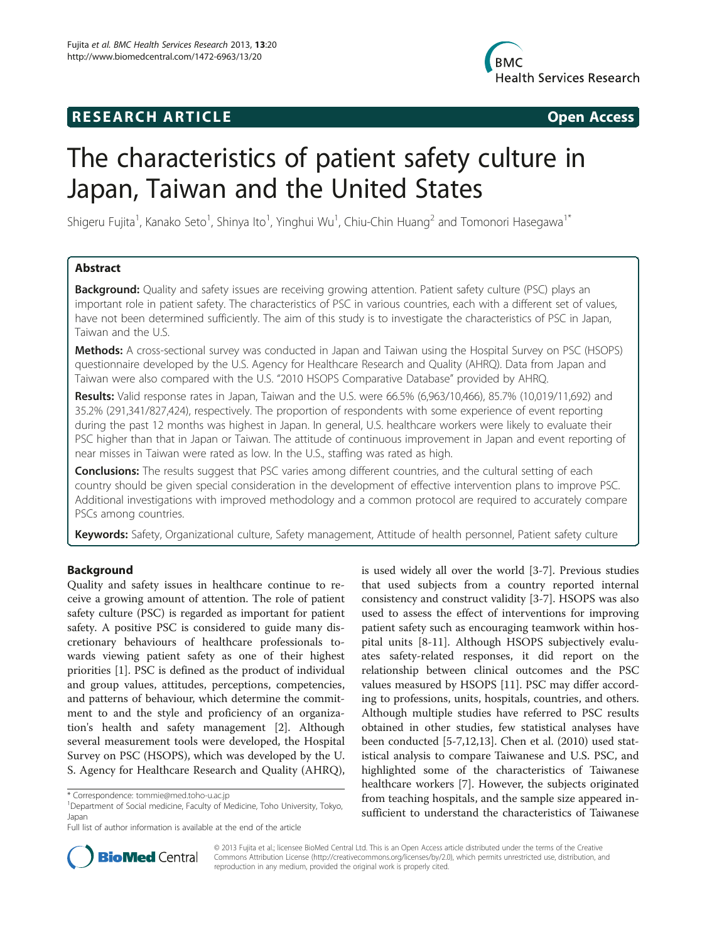## **RESEARCH ARTICLE Example 2014 CONSIDERING CONSIDERING CONSIDERING CONSIDERING CONSIDERING CONSIDERING CONSIDERING CONSIDERING CONSIDERING CONSIDERING CONSIDERING CONSIDERING CONSIDERING CONSIDERING CONSIDERING CONSIDE**



# The characteristics of patient safety culture in Japan, Taiwan and the United States

Shigeru Fujita<sup>1</sup>, Kanako Seto<sup>1</sup>, Shinya Ito<sup>1</sup>, Yinghui Wu<sup>1</sup>, Chiu-Chin Huang<sup>2</sup> and Tomonori Hasegawa<sup>1\*</sup>

### Abstract

**Background:** Quality and safety issues are receiving growing attention. Patient safety culture (PSC) plays an important role in patient safety. The characteristics of PSC in various countries, each with a different set of values, have not been determined sufficiently. The aim of this study is to investigate the characteristics of PSC in Japan, Taiwan and the U.S.

Methods: A cross-sectional survey was conducted in Japan and Taiwan using the Hospital Survey on PSC (HSOPS) questionnaire developed by the U.S. Agency for Healthcare Research and Quality (AHRQ). Data from Japan and Taiwan were also compared with the U.S. "2010 HSOPS Comparative Database" provided by AHRQ.

Results: Valid response rates in Japan, Taiwan and the U.S. were 66.5% (6,963/10,466), 85.7% (10,019/11,692) and 35.2% (291,341/827,424), respectively. The proportion of respondents with some experience of event reporting during the past 12 months was highest in Japan. In general, U.S. healthcare workers were likely to evaluate their PSC higher than that in Japan or Taiwan. The attitude of continuous improvement in Japan and event reporting of near misses in Taiwan were rated as low. In the U.S., staffing was rated as high.

**Conclusions:** The results suggest that PSC varies among different countries, and the cultural setting of each country should be given special consideration in the development of effective intervention plans to improve PSC. Additional investigations with improved methodology and a common protocol are required to accurately compare PSCs among countries.

Keywords: Safety, Organizational culture, Safety management, Attitude of health personnel, Patient safety culture

### Background

Quality and safety issues in healthcare continue to receive a growing amount of attention. The role of patient safety culture (PSC) is regarded as important for patient safety. A positive PSC is considered to guide many discretionary behaviours of healthcare professionals towards viewing patient safety as one of their highest priorities [[1\]](#page-8-0). PSC is defined as the product of individual and group values, attitudes, perceptions, competencies, and patterns of behaviour, which determine the commitment to and the style and proficiency of an organization's health and safety management [\[2](#page-8-0)]. Although several measurement tools were developed, the Hospital Survey on PSC (HSOPS), which was developed by the U. S. Agency for Healthcare Research and Quality (AHRQ),

is used widely all over the world [\[3-7](#page-8-0)]. Previous studies that used subjects from a country reported internal consistency and construct validity [\[3](#page-8-0)-[7\]](#page-8-0). HSOPS was also used to assess the effect of interventions for improving patient safety such as encouraging teamwork within hospital units [[8-11\]](#page-8-0). Although HSOPS subjectively evaluates safety-related responses, it did report on the relationship between clinical outcomes and the PSC values measured by HSOPS [[11\]](#page-8-0). PSC may differ according to professions, units, hospitals, countries, and others. Although multiple studies have referred to PSC results obtained in other studies, few statistical analyses have been conducted [\[5](#page-8-0)-[7,12](#page-8-0),[13](#page-8-0)]. Chen et al. (2010) used statistical analysis to compare Taiwanese and U.S. PSC, and highlighted some of the characteristics of Taiwanese healthcare workers [\[7](#page-8-0)]. However, the subjects originated from teaching hospitals, and the sample size appeared insufficient to understand the characteristics of Taiwanese



© 2013 Fujita et al.; licensee BioMed Central Ltd. This is an Open Access article distributed under the terms of the Creative Commons Attribution License [\(http://creativecommons.org/licenses/by/2.0\)](http://creativecommons.org/licenses/by/2.0), which permits unrestricted use, distribution, and reproduction in any medium, provided the original work is properly cited.

<sup>\*</sup> Correspondence: [tommie@med.toho-u.ac.jp](mailto:tommie@med.toho-u.ac.jp) <sup>1</sup>

<sup>&</sup>lt;sup>1</sup>Department of Social medicine, Faculty of Medicine, Toho University, Tokyo, Japan

Full list of author information is available at the end of the article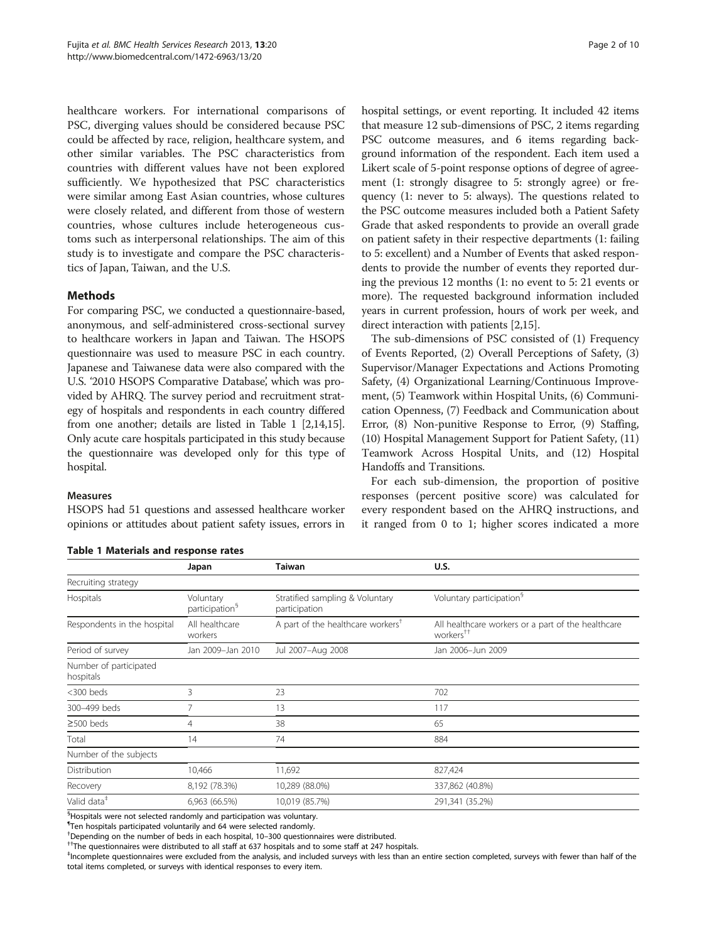<span id="page-1-0"></span>healthcare workers. For international comparisons of PSC, diverging values should be considered because PSC could be affected by race, religion, healthcare system, and other similar variables. The PSC characteristics from countries with different values have not been explored sufficiently. We hypothesized that PSC characteristics were similar among East Asian countries, whose cultures were closely related, and different from those of western countries, whose cultures include heterogeneous customs such as interpersonal relationships. The aim of this study is to investigate and compare the PSC characteristics of Japan, Taiwan, and the U.S.

### Methods

For comparing PSC, we conducted a questionnaire-based, anonymous, and self-administered cross-sectional survey to healthcare workers in Japan and Taiwan. The HSOPS questionnaire was used to measure PSC in each country. Japanese and Taiwanese data were also compared with the U.S. '2010 HSOPS Comparative Database', which was provided by AHRQ. The survey period and recruitment strategy of hospitals and respondents in each country differed from one another; details are listed in Table 1 [\[2,14,](#page-8-0)[15](#page-9-0)]. Only acute care hospitals participated in this study because the questionnaire was developed only for this type of hospital.

hospital settings, or event reporting. It included 42 items that measure 12 sub-dimensions of PSC, 2 items regarding PSC outcome measures, and 6 items regarding background information of the respondent. Each item used a Likert scale of 5-point response options of degree of agreement (1: strongly disagree to 5: strongly agree) or frequency (1: never to 5: always). The questions related to the PSC outcome measures included both a Patient Safety Grade that asked respondents to provide an overall grade on patient safety in their respective departments (1: failing to 5: excellent) and a Number of Events that asked respondents to provide the number of events they reported during the previous 12 months (1: no event to 5: 21 events or more). The requested background information included years in current profession, hours of work per week, and direct interaction with patients [\[2](#page-8-0)[,15\]](#page-9-0).

The sub-dimensions of PSC consisted of (1) Frequency of Events Reported, (2) Overall Perceptions of Safety, (3) Supervisor/Manager Expectations and Actions Promoting Safety, (4) Organizational Learning/Continuous Improvement, (5) Teamwork within Hospital Units, (6) Communication Openness, (7) Feedback and Communication about Error, (8) Non-punitive Response to Error, (9) Staffing, (10) Hospital Management Support for Patient Safety, (11) Teamwork Across Hospital Units, and (12) Hospital Handoffs and Transitions.

For each sub-dimension, the proportion of positive responses (percent positive score) was calculated for every respondent based on the AHRQ instructions, and it ranged from 0 to 1; higher scores indicated a more

### Measures

HSOPS had 51 questions and assessed healthcare worker opinions or attitudes about patient safety issues, errors in

### Table 1 Materials and response rates

Japan Taiwan U.S. Recruiting strategy Hospitals Voluntary participation§ Stratified sampling & Voluntary participation Voluntary participation§ Respondents in the hospital All healthcare workers A part of the healthcare workers<sup>†</sup> All healthcare workers or a part of the healthcare workers†† Period of survey Jan 2009–Jan 2010 Jul 2007–Aug 2008 Jan 2006–Jun 2009 Number of participated hospitals <300 beds 3 23 702 300–499 beds 7 13 117  $\ge$ 500 beds 65 Total 14 74 884 Number of the subjects Distribution 10,466 11,692 827,424 Recovery 8,192 (78.3%) 10,289 (88.0%) 337,862 (40.8%) Valid data‡ 6,963 (66.5%) 10,019 (85.7%) 291,341 (35.2%)

§ Hospitals were not selected randomly and participation was voluntary.

¶ Ten hospitals participated voluntarily and 64 were selected randomly.

<sup>†</sup>Depending on the number of beds in each hospital, 10–300 questionnaires were distributed.

 $^{+\dagger}$ The questionnaires were distributed to all staff at 637 hospitals and to some staff at 247 hospitals.

‡ Incomplete questionnaires were excluded from the analysis, and included surveys with less than an entire section completed, surveys with fewer than half of the total items completed, or surveys with identical responses to every item.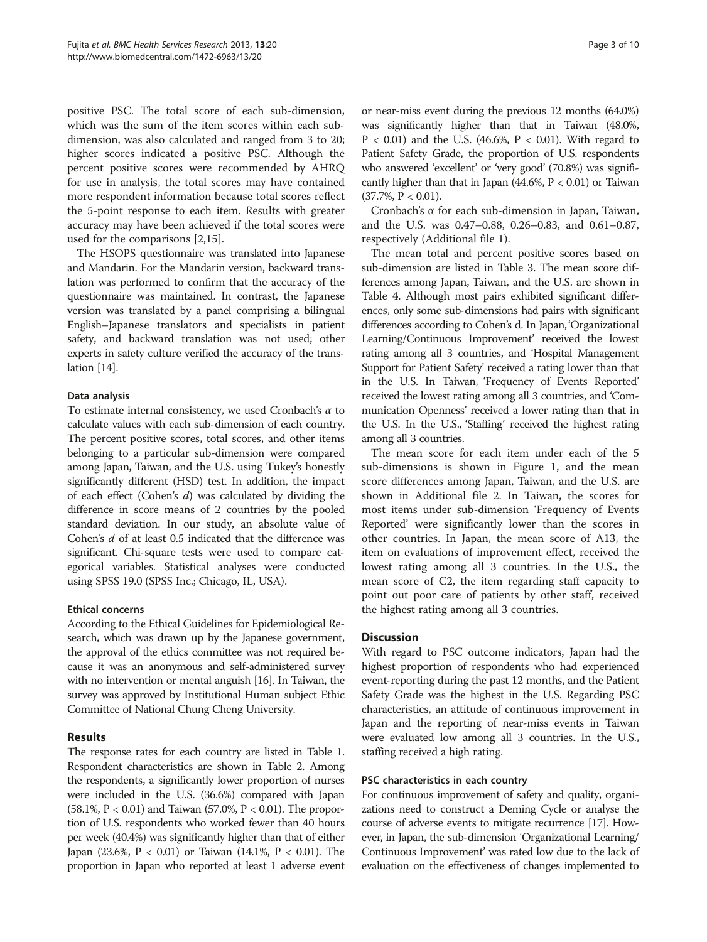positive PSC. The total score of each sub-dimension, which was the sum of the item scores within each subdimension, was also calculated and ranged from 3 to 20; higher scores indicated a positive PSC. Although the percent positive scores were recommended by AHRQ for use in analysis, the total scores may have contained more respondent information because total scores reflect the 5-point response to each item. Results with greater accuracy may have been achieved if the total scores were used for the comparisons [[2,](#page-8-0)[15\]](#page-9-0).

The HSOPS questionnaire was translated into Japanese and Mandarin. For the Mandarin version, backward translation was performed to confirm that the accuracy of the questionnaire was maintained. In contrast, the Japanese version was translated by a panel comprising a bilingual English–Japanese translators and specialists in patient safety, and backward translation was not used; other experts in safety culture verified the accuracy of the translation [[14](#page-8-0)].

### Data analysis

To estimate internal consistency, we used Cronbach's  $\alpha$  to calculate values with each sub-dimension of each country. The percent positive scores, total scores, and other items belonging to a particular sub-dimension were compared among Japan, Taiwan, and the U.S. using Tukey's honestly significantly different (HSD) test. In addition, the impact of each effect (Cohen's d) was calculated by dividing the difference in score means of 2 countries by the pooled standard deviation. In our study, an absolute value of Cohen's d of at least 0.5 indicated that the difference was significant. Chi-square tests were used to compare categorical variables. Statistical analyses were conducted using SPSS 19.0 (SPSS Inc.; Chicago, IL, USA).

### Ethical concerns

According to the Ethical Guidelines for Epidemiological Research, which was drawn up by the Japanese government, the approval of the ethics committee was not required because it was an anonymous and self-administered survey with no intervention or mental anguish [\[16](#page-9-0)]. In Taiwan, the survey was approved by Institutional Human subject Ethic Committee of National Chung Cheng University.

### Results

The response rates for each country are listed in Table [1](#page-1-0). Respondent characteristics are shown in Table [2.](#page-3-0) Among the respondents, a significantly lower proportion of nurses were included in the U.S. (36.6%) compared with Japan (58.1%, P < 0.01) and Taiwan (57.0%, P < 0.01). The proportion of U.S. respondents who worked fewer than 40 hours per week (40.4%) was significantly higher than that of either Japan (23.6%, P < 0.01) or Taiwan (14.1%, P < 0.01). The proportion in Japan who reported at least 1 adverse event or near-miss event during the previous 12 months (64.0%) was significantly higher than that in Taiwan (48.0%,  $P < 0.01$ ) and the U.S. (46.6%,  $P < 0.01$ ). With regard to Patient Safety Grade, the proportion of U.S. respondents who answered 'excellent' or 'very good' (70.8%) was significantly higher than that in Japan  $(44.6\%, P < 0.01)$  or Taiwan  $(37.7\%, P < 0.01)$ .

Cronbach's α for each sub-dimension in Japan, Taiwan, and the U.S. was 0.47–0.88, 0.26–0.83, and 0.61–0.87, respectively (Additional file [1\)](#page-8-0).

The mean total and percent positive scores based on sub-dimension are listed in Table [3](#page-4-0). The mean score differences among Japan, Taiwan, and the U.S. are shown in Table [4.](#page-5-0) Although most pairs exhibited significant differences, only some sub-dimensions had pairs with significant differences according to Cohen's d. In Japan,'Organizational Learning/Continuous Improvement' received the lowest rating among all 3 countries, and 'Hospital Management Support for Patient Safety' received a rating lower than that in the U.S. In Taiwan, 'Frequency of Events Reported' received the lowest rating among all 3 countries, and 'Communication Openness' received a lower rating than that in the U.S. In the U.S., 'Staffing' received the highest rating among all 3 countries.

The mean score for each item under each of the 5 sub-dimensions is shown in Figure [1,](#page-7-0) and the mean score differences among Japan, Taiwan, and the U.S. are shown in Additional file [2.](#page-8-0) In Taiwan, the scores for most items under sub-dimension 'Frequency of Events Reported' were significantly lower than the scores in other countries. In Japan, the mean score of A13, the item on evaluations of improvement effect, received the lowest rating among all 3 countries. In the U.S., the mean score of C2, the item regarding staff capacity to point out poor care of patients by other staff, received the highest rating among all 3 countries.

### **Discussion**

With regard to PSC outcome indicators, Japan had the highest proportion of respondents who had experienced event-reporting during the past 12 months, and the Patient Safety Grade was the highest in the U.S. Regarding PSC characteristics, an attitude of continuous improvement in Japan and the reporting of near-miss events in Taiwan were evaluated low among all 3 countries. In the U.S., staffing received a high rating.

### PSC characteristics in each country

For continuous improvement of safety and quality, organizations need to construct a Deming Cycle or analyse the course of adverse events to mitigate recurrence [\[17\]](#page-9-0). However, in Japan, the sub-dimension 'Organizational Learning/ Continuous Improvement' was rated low due to the lack of evaluation on the effectiveness of changes implemented to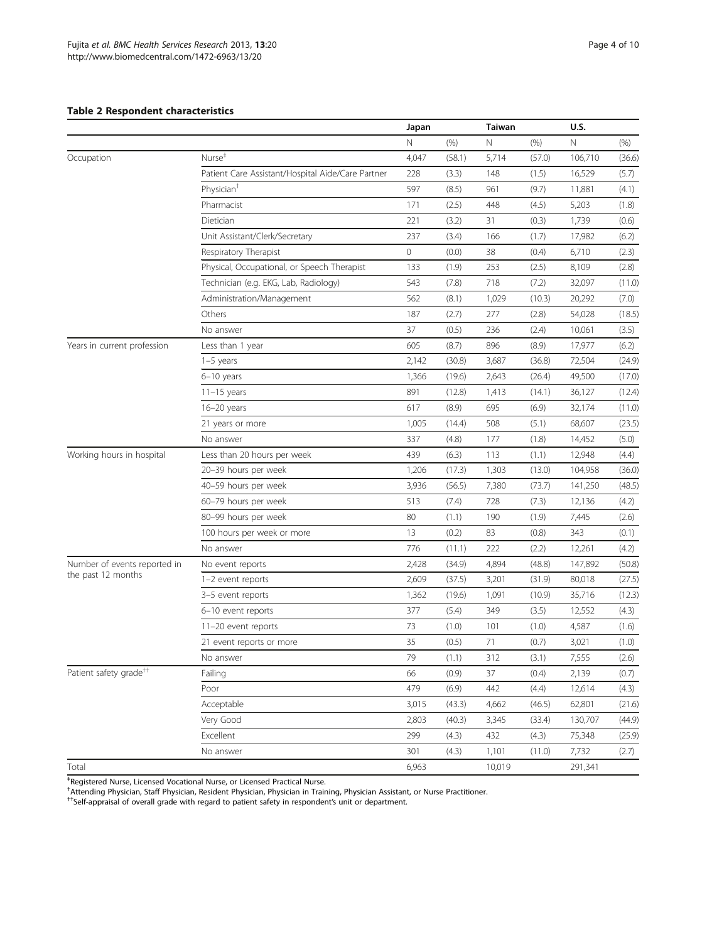### <span id="page-3-0"></span>Table 2 Respondent characteristics

|                                    |                                                   | Japan |        |        | <b>Taiwan</b> |         |        |
|------------------------------------|---------------------------------------------------|-------|--------|--------|---------------|---------|--------|
|                                    |                                                   | N     | (% )   | Ν      | (% )          | N       | (% )   |
| Occupation                         | Nurse <sup>#</sup>                                | 4,047 | (58.1) | 5,714  | (57.0)        | 106,710 | (36.6) |
|                                    | Patient Care Assistant/Hospital Aide/Care Partner | 228   | (3.3)  | 148    | (1.5)         | 16,529  | (5.7)  |
|                                    | Physician <sup>+</sup>                            | 597   | (8.5)  | 961    | (9.7)         | 11,881  | (4.1)  |
|                                    | Pharmacist                                        | 171   | (2.5)  | 448    | (4.5)         | 5,203   | (1.8)  |
|                                    | Dietician                                         | 221   | (3.2)  | 31     | (0.3)         | 1,739   | (0.6)  |
|                                    | Unit Assistant/Clerk/Secretary                    | 237   | (3.4)  | 166    | (1.7)         | 17,982  | (6.2)  |
|                                    | Respiratory Therapist                             | 0     | (0.0)  | 38     | (0.4)         | 6,710   | (2.3)  |
|                                    | Physical, Occupational, or Speech Therapist       | 133   | (1.9)  | 253    | (2.5)         | 8,109   | (2.8)  |
|                                    | Technician (e.g. EKG, Lab, Radiology)             | 543   | (7.8)  | 718    | (7.2)         | 32,097  | (11.0) |
|                                    | Administration/Management                         | 562   | (8.1)  | 1,029  | (10.3)        | 20,292  | (7.0)  |
|                                    | Others                                            | 187   | (2.7)  | 277    | (2.8)         | 54,028  | (18.5) |
|                                    | No answer                                         | 37    | (0.5)  | 236    | (2.4)         | 10,061  | (3.5)  |
| Years in current profession        | Less than 1 year                                  | 605   | (8.7)  | 896    | (8.9)         | 17,977  | (6.2)  |
|                                    | $1-5$ years                                       | 2,142 | (30.8) | 3,687  | (36.8)        | 72,504  | (24.9) |
|                                    | $6-10$ years                                      | 1,366 | (19.6) | 2,643  | (26.4)        | 49,500  | (17.0) |
|                                    | $11-15$ years                                     | 891   | (12.8) | 1,413  | (14.1)        | 36,127  | (12.4) |
|                                    | $16 - 20$ years                                   | 617   | (8.9)  | 695    | (6.9)         | 32,174  | (11.0) |
|                                    | 21 years or more                                  | 1,005 | (14.4) | 508    | (5.1)         | 68,607  | (23.5) |
|                                    | No answer                                         | 337   | (4.8)  | 177    | (1.8)         | 14,452  | (5.0)  |
| Working hours in hospital          | Less than 20 hours per week                       | 439   | (6.3)  | 113    | (1.1)         | 12,948  | (4.4)  |
|                                    | 20-39 hours per week                              | 1,206 | (17.3) | 1,303  | (13.0)        | 104,958 | (36.0) |
|                                    | 40-59 hours per week                              | 3,936 | (56.5) | 7,380  | (73.7)        | 141,250 | (48.5) |
|                                    | 60-79 hours per week                              | 513   | (7.4)  | 728    | (7.3)         | 12,136  | (4.2)  |
|                                    | 80-99 hours per week                              | 80    | (1.1)  | 190    | (1.9)         | 7,445   | (2.6)  |
|                                    | 100 hours per week or more                        | 13    | (0.2)  | 83     | (0.8)         | 343     | (0.1)  |
|                                    | No answer                                         | 776   | (11.1) | 222    | (2.2)         | 12,261  | (4.2)  |
| Number of events reported in       | No event reports                                  | 2,428 | (34.9) | 4,894  | (48.8)        | 147,892 | (50.8) |
| the past 12 months                 | 1-2 event reports                                 | 2,609 | (37.5) | 3,201  | (31.9)        | 80,018  | (27.5) |
|                                    | 3-5 event reports                                 | 1,362 | (19.6) | 1,091  | (10.9)        | 35,716  | (12.3) |
|                                    | 6-10 event reports                                | 377   | (5.4)  | 349    | (3.5)         | 12,552  | (4.3)  |
|                                    | 11-20 event reports                               | 73    | (1.0)  | 101    | (1.0)         | 4,587   | (1.6)  |
|                                    | 21 event reports or more                          | 35    | (0.5)  | 71     | (0.7)         | 3,021   | (1.0)  |
|                                    | No answer                                         | 79    | (1.1)  | 312    | (3.1)         | 7,555   | (2.6)  |
| Patient safety grade <sup>++</sup> | Failing                                           | 66    | (0.9)  | 37     | (0.4)         | 2,139   | (0.7)  |
|                                    | Poor                                              | 479   | (6.9)  | 442    | (4.4)         | 12,614  | (4.3)  |
|                                    | Acceptable                                        | 3,015 | (43.3) | 4,662  | (46.5)        | 62,801  | (21.6) |
|                                    | Very Good                                         | 2,803 | (40.3) | 3,345  | (33.4)        | 130,707 | (44.9) |
|                                    | Excellent                                         | 299   | (4.3)  | 432    | (4.3)         | 75,348  | (25.9) |
|                                    | No answer                                         | 301   | (4.3)  | 1,101  | (11.0)        | 7,732   | (2.7)  |
| Total                              |                                                   | 6,963 |        | 10,019 |               | 291,341 |        |

<sup>‡</sup>Registered Nurse, Licensed Vocational Nurse, or Licensed Practical Nurse.<br><sup>†</sup>Attending Physician, Staff Physician, Resident Physician, Physician in Training, Physician Assistant, or Nurse Practitioner.<br><sup>††</sup>Self-appraisa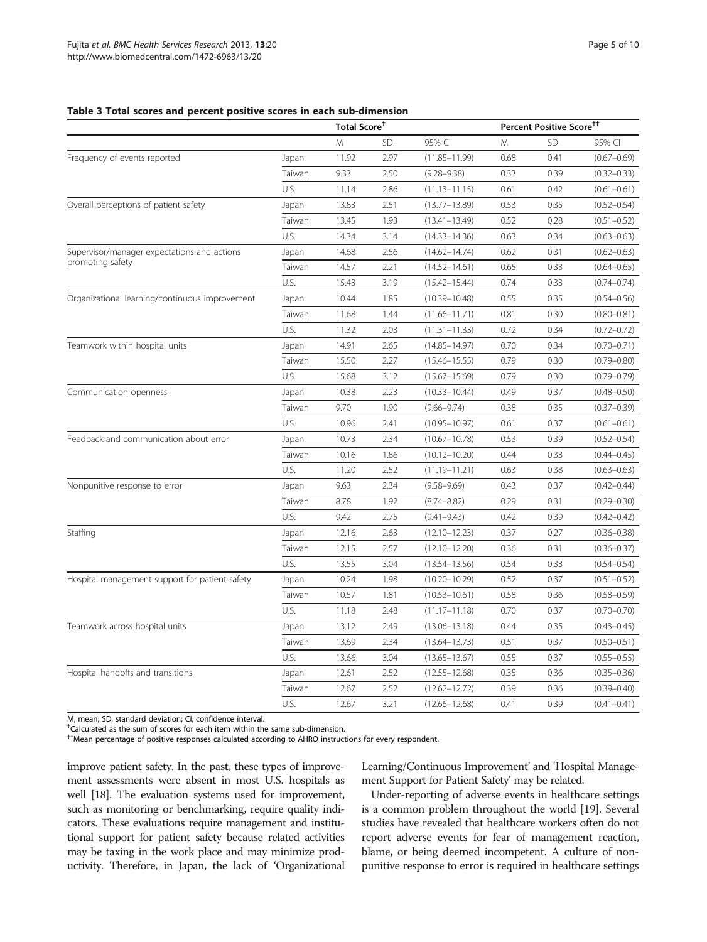### <span id="page-4-0"></span>Table 3 Total scores and percent positive scores in each sub-dimension

|                                                |        |       | Percent Positive Score <sup>††</sup><br>Total Score <sup>+</sup> |                   |      |           |                 |
|------------------------------------------------|--------|-------|------------------------------------------------------------------|-------------------|------|-----------|-----------------|
|                                                |        | M     | <b>SD</b>                                                        | 95% CI            | Μ    | <b>SD</b> | 95% CI          |
| Frequency of events reported                   | Japan  | 11.92 | 2.97                                                             | $(11.85 - 11.99)$ | 0.68 | 0.41      | $(0.67 - 0.69)$ |
|                                                | Taiwan | 9.33  | 2.50                                                             | $(9.28 - 9.38)$   | 0.33 | 0.39      | $(0.32 - 0.33)$ |
|                                                | U.S.   | 11.14 | 2.86                                                             | $(11.13 - 11.15)$ | 0.61 | 0.42      | $(0.61 - 0.61)$ |
| Overall perceptions of patient safety          | Japan  | 13.83 | 2.51                                                             | $(13.77 - 13.89)$ | 0.53 | 0.35      | $(0.52 - 0.54)$ |
|                                                | Taiwan | 13.45 | 1.93                                                             | $(13.41 - 13.49)$ | 0.52 | 0.28      | $(0.51 - 0.52)$ |
|                                                | U.S.   | 14.34 | 3.14                                                             | $(14.33 - 14.36)$ | 0.63 | 0.34      | $(0.63 - 0.63)$ |
| Supervisor/manager expectations and actions    | Japan  | 14.68 | 2.56                                                             | $(14.62 - 14.74)$ | 0.62 | 0.31      | $(0.62 - 0.63)$ |
| promoting safety                               | Taiwan | 14.57 | 2.21                                                             | $(14.52 - 14.61)$ | 0.65 | 0.33      | $(0.64 - 0.65)$ |
|                                                | U.S.   | 15.43 | 3.19                                                             | $(15.42 - 15.44)$ | 0.74 | 0.33      | $(0.74 - 0.74)$ |
| Organizational learning/continuous improvement | Japan  | 10.44 | 1.85                                                             | $(10.39 - 10.48)$ | 0.55 | 0.35      | $(0.54 - 0.56)$ |
|                                                | Taiwan | 11.68 | 1.44                                                             | $(11.66 - 11.71)$ | 0.81 | 0.30      | $(0.80 - 0.81)$ |
|                                                | U.S.   | 11.32 | 2.03                                                             | $(11.31 - 11.33)$ | 0.72 | 0.34      | $(0.72 - 0.72)$ |
| Teamwork within hospital units                 | Japan  | 14.91 | 2.65                                                             | $(14.85 - 14.97)$ | 0.70 | 0.34      | $(0.70 - 0.71)$ |
|                                                | Taiwan | 15.50 | 2.27                                                             | $(15.46 - 15.55)$ | 0.79 | 0.30      | $(0.79 - 0.80)$ |
|                                                | U.S.   | 15.68 | 3.12                                                             | $(15.67 - 15.69)$ | 0.79 | 0.30      | $(0.79 - 0.79)$ |
| Communication openness                         | Japan  | 10.38 | 2.23                                                             | $(10.33 - 10.44)$ | 0.49 | 0.37      | $(0.48 - 0.50)$ |
|                                                | Taiwan | 9.70  | 1.90                                                             | $(9.66 - 9.74)$   | 0.38 | 0.35      | $(0.37 - 0.39)$ |
|                                                | U.S.   | 10.96 | 2.41                                                             | $(10.95 - 10.97)$ | 0.61 | 0.37      | $(0.61 - 0.61)$ |
| Feedback and communication about error         | Japan  | 10.73 | 2.34                                                             | $(10.67 - 10.78)$ | 0.53 | 0.39      | $(0.52 - 0.54)$ |
|                                                | Taiwan | 10.16 | 1.86                                                             | $(10.12 - 10.20)$ | 0.44 | 0.33      | $(0.44 - 0.45)$ |
|                                                | U.S.   | 11.20 | 2.52                                                             | $(11.19 - 11.21)$ | 0.63 | 0.38      | $(0.63 - 0.63)$ |
| Nonpunitive response to error                  | Japan  | 9.63  | 2.34                                                             | $(9.58 - 9.69)$   | 0.43 | 0.37      | $(0.42 - 0.44)$ |
|                                                | Taiwan | 8.78  | 1.92                                                             | $(8.74 - 8.82)$   | 0.29 | 0.31      | $(0.29 - 0.30)$ |
|                                                | U.S.   | 9.42  | 2.75                                                             | $(9.41 - 9.43)$   | 0.42 | 0.39      | $(0.42 - 0.42)$ |
| Staffing                                       | Japan  | 12.16 | 2.63                                                             | $(12.10 - 12.23)$ | 0.37 | 0.27      | $(0.36 - 0.38)$ |
|                                                | Taiwan | 12.15 | 2.57                                                             | $(12.10 - 12.20)$ | 0.36 | 0.31      | $(0.36 - 0.37)$ |
|                                                | U.S.   | 13.55 | 3.04                                                             | $(13.54 - 13.56)$ | 0.54 | 0.33      | $(0.54 - 0.54)$ |
| Hospital management support for patient safety | Japan  | 10.24 | 1.98                                                             | $(10.20 - 10.29)$ | 0.52 | 0.37      | $(0.51 - 0.52)$ |
|                                                | Taiwan | 10.57 | 1.81                                                             | $(10.53 - 10.61)$ | 0.58 | 0.36      | $(0.58 - 0.59)$ |
|                                                | U.S.   | 11.18 | 2.48                                                             | $(11.17 - 11.18)$ | 0.70 | 0.37      | $(0.70 - 0.70)$ |
| Teamwork across hospital units                 | Japan  | 13.12 | 2.49                                                             | $(13.06 - 13.18)$ | 0.44 | 0.35      | $(0.43 - 0.45)$ |
|                                                | Taiwan | 13.69 | 2.34                                                             | $(13.64 - 13.73)$ | 0.51 | 0.37      | $(0.50 - 0.51)$ |
|                                                | U.S.   | 13.66 | 3.04                                                             | $(13.65 - 13.67)$ | 0.55 | 0.37      | $(0.55 - 0.55)$ |
| Hospital handoffs and transitions              | Japan  | 12.61 | 2.52                                                             | $(12.55 - 12.68)$ | 0.35 | 0.36      | $(0.35 - 0.36)$ |
|                                                | Taiwan | 12.67 | 2.52                                                             | $(12.62 - 12.72)$ | 0.39 | 0.36      | $(0.39 - 0.40)$ |
|                                                | U.S.   | 12.67 | 3.21                                                             | $(12.66 - 12.68)$ | 0.41 | 0.39      | $(0.41 - 0.41)$ |

M, mean; SD, standard deviation; CI, confidence interval.

† Calculated as the sum of scores for each item within the same sub-dimension.

††Mean percentage of positive responses calculated according to AHRQ instructions for every respondent.

improve patient safety. In the past, these types of improvement assessments were absent in most U.S. hospitals as well [[18](#page-9-0)]. The evaluation systems used for improvement, such as monitoring or benchmarking, require quality indicators. These evaluations require management and institutional support for patient safety because related activities may be taxing in the work place and may minimize productivity. Therefore, in Japan, the lack of 'Organizational Learning/Continuous Improvement' and 'Hospital Management Support for Patient Safety' may be related.

Under-reporting of adverse events in healthcare settings is a common problem throughout the world [\[19\]](#page-9-0). Several studies have revealed that healthcare workers often do not report adverse events for fear of management reaction, blame, or being deemed incompetent. A culture of nonpunitive response to error is required in healthcare settings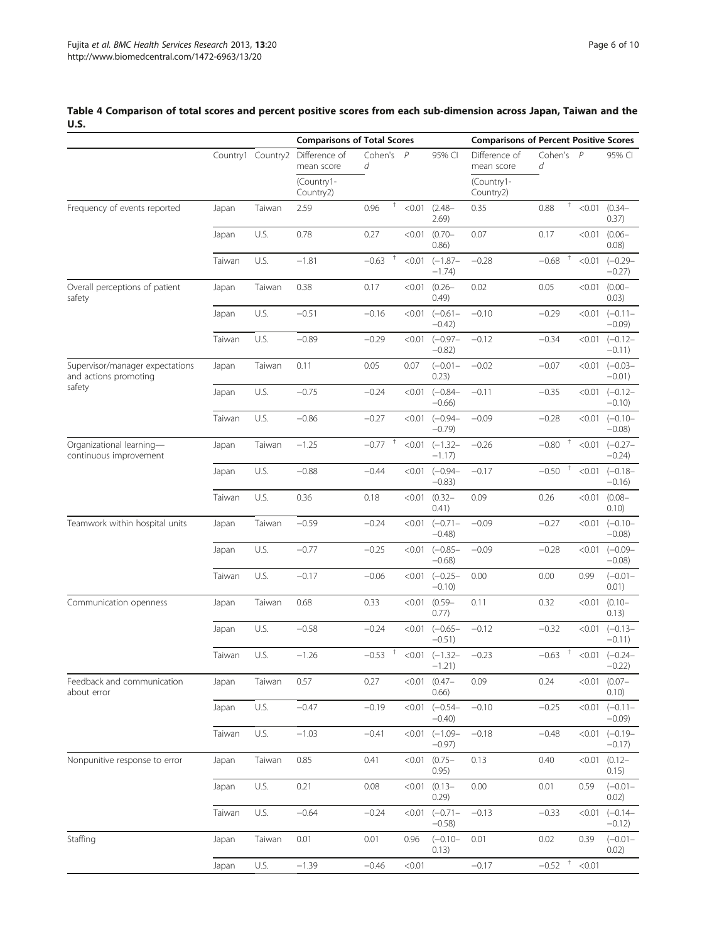#### Comparisons of Total Scores **Comparisons of Percent Positive Scores** Country1 Country2 Difference of mean score Cohen's d P 95% CI Difference of mean score Cohen's d P 95% CI (Country1- Country2) (Country1- Country2) Frequency of events reported Japan Taiwan 2.59 0.96 <sup>+</sup> <0.01 (2.48– 2.69)  $0.35$   $0.88$   $\phantom{0}^{\dagger}$  < 0.01 (0.34– 0.37) Japan U.S. 0.78 0.27 <0.01 (0.70– 0.86) 0.07 0.17 <0.01 (0.06– 0.08) Taiwan U.S. −1.81 −0.63 † <0.01 (−1.87– −1.74) −0.28 −0.68 † <0.01 (−0.29– −0.27) Overall perceptions of patient safety Japan Taiwan 0.38 0.17 <0.01 (0.26– 0.49) 0.02 0.05 <0.01 (0.00– 0.03) Japan U.S. −0.51 −0.16 <0.01 (−0.61– −0.42) −0.10 −0.29 <0.01 (−0.11– −0.09) Taiwan U.S. −0.89 −0.29 <0.01 (−0.97– −0.82) −0.12 −0.34 <0.01 (−0.12– −0.11) Supervisor/manager expectations and actions promoting safety Japan Taiwan 0.11 0.05 0.07 (−0.01– 0.23) −0.02 −0.07 <0.01 (−0.03– −0.01) Japan U.S. −0.75 −0.24 <0.01 (−0.84– −0.66) −0.11 −0.35 <0.01 (−0.12– −0.10) Taiwan U.S. −0.86 −0.27 <0.01 (−0.94– −0.79) −0.09 −0.28 <0.01 (−0.10– −0.08) Organizational learning continuous improvement Japan Taiwan −1.25 −0.77 † <0.01 (−1.32– −1.17)  $-0.26$   $-0.80$   $\phantom{0}^+$  <0.01 (-0.27– −0.24) Japan U.S. −0.88 −0.44 <0.01 (−0.94– −0.83) −0.17 −0.50 † <0.01 (−0.18– −0.16) Taiwan U.S. 0.36 0.18 <0.01 (0.32– 0.41) 0.09 0.26 <0.01 (0.08– 0.10) Teamwork within hospital units Japan Taiwan −0.59 −0.24 <0.01 (−0.71– −0.48) −0.09 −0.27 <0.01 (−0.10– −0.08) Japan U.S. −0.77 −0.25 <0.01 (−0.85– −0.68) −0.09 −0.28 <0.01 (−0.09– −0.08) Taiwan U.S. −0.17 −0.06 <0.01 (−0.25– −0.10) 0.00 0.00 0.99 (−0.01– 0.01) Communication openness Japan Taiwan 0.68 0.33 <0.01 (0.59– 0.77) 0.11 0.32 < 0.01 (0.10– 0.13) Japan U.S. −0.58 −0.24 <0.01 (−0.65– −0.51) −0.12 −0.32 <0.01 (−0.13– −0.11) Taiwan U.S. −1.26 −0.53 <sup>†</sup> <0.01 (−1.32– −1.21)  $-0.23$   $-0.63$   $\frac{+}{0.01}$   $(-0.24 -$ −0.22) Feedback and communication about error Japan Taiwan 0.57 0.27 <0.01 (0.47– 0.66) 0.09 0.24 <0.01 (0.07– 0.10) Japan U.S. −0.47 −0.19 <0.01 (−0.54– −0.40) −0.10 −0.25 <0.01 (−0.11– −0.09) Taiwan U.S. −1.03 −0.41 <0.01 (−1.09– −0.97) −0.18 −0.48 <0.01 (−0.19– −0.17) Nonpunitive response to error Japan Taiwan 0.85 0.41 <0.01 (0.75– 0.95) 0.13 0.40 <0.01 (0.12– 0.15) Japan U.S. 0.21 0.08 <0.01 (0.13– 0.29) 0.00 0.01 0.59 (−0.01– 0.02) Taiwan U.S. −0.64 −0.24 <0.01 (−0.71– −0.58) −0.13 −0.33 <0.01 (−0.14– −0.12) Staffing Japan Taiwan 0.01 0.01 0.96 (−0.10– 0.13) 0.01 0.02 0.39 (−0.01– 0.02) Japan U.S. −1.39 −0.46 <0.01 −0.17 −0.52 † <0.01

### <span id="page-5-0"></span>Table 4 Comparison of total scores and percent positive scores from each sub-dimension across Japan, Taiwan and the U.S.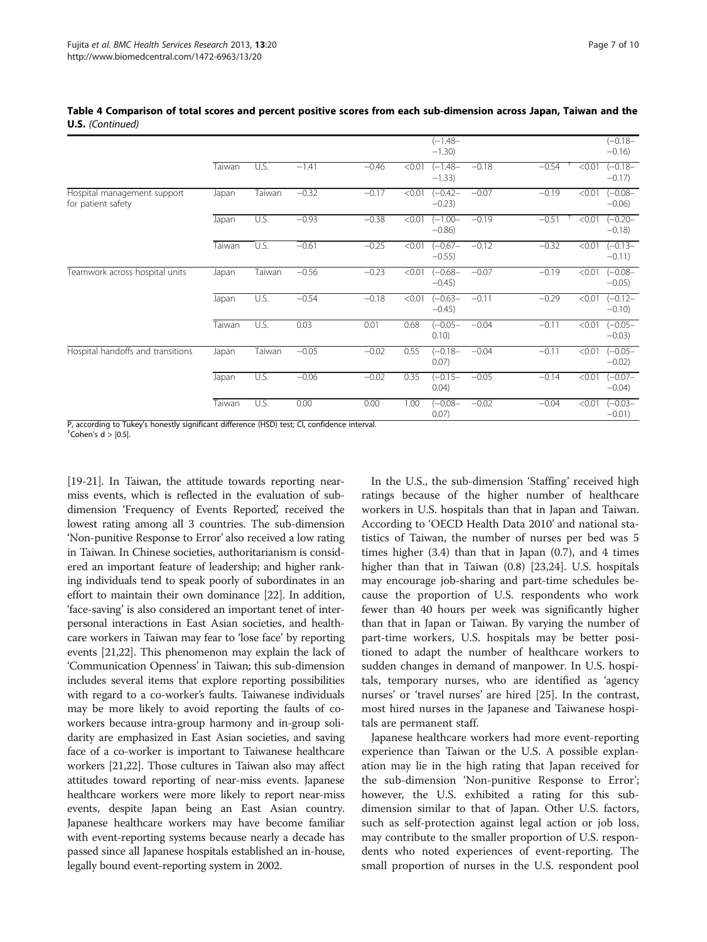|                                                   |        |        |         |         |        | $(-1.48 -$<br>$-1.30$   |         |         |        | $(-0.18 -$<br>$-0.16$ ) |
|---------------------------------------------------|--------|--------|---------|---------|--------|-------------------------|---------|---------|--------|-------------------------|
|                                                   | Taiwan | U.S.   | $-1.41$ | $-0.46$ | < 0.01 | $(-1.48 -$<br>$-1.33$   | $-0.18$ | $-0.54$ | < 0.01 | $(-0.18 -$<br>$-0.17$   |
| Hospital management support<br>for patient safety | Japan  | Taiwan | $-0.32$ | $-0.17$ | < 0.01 | $(-0.42 -$<br>$-0.23$   | $-0.07$ | $-0.19$ | < 0.01 | $(-0.08 -$<br>$-0.06$ ) |
|                                                   | Japan  | U.S.   | $-0.93$ | $-0.38$ | < 0.01 | $(-1.00 -$<br>$-0.86$ ) | $-0.19$ | $-0.51$ | < 0.01 | $(-0.20 -$<br>$-0.18$   |
|                                                   | Taiwan | U.S.   | $-0.61$ | $-0.25$ | < 0.01 | $(-0.67 -$<br>$-0.55$   | $-0.12$ | $-0.32$ | < 0.01 | $(-0.13 -$<br>$-0.11$   |
| Teamwork across hospital units                    | Japan  | Taiwan | $-0.56$ | $-0.23$ | < 0.01 | $(-0.68 -$<br>$-0.45$ ) | $-0.07$ | $-0.19$ | < 0.01 | $(-0.08 -$<br>$-0.05$ ) |
|                                                   | Japan  | U.S.   | $-0.54$ | $-0.18$ | < 0.01 | $(-0.63 -$<br>$-0.45$ ) | $-0.11$ | $-0.29$ | < 0.01 | $(-0.12 -$<br>$-0.10$   |
|                                                   | Taiwan | U.S.   | 0.03    | 0.01    | 0.68   | $(-0.05 -$<br>0.10)     | $-0.04$ | $-0.11$ | < 0.01 | $(-0.05 -$<br>$-0.03$ ) |
| Hospital handoffs and transitions                 | Japan  | Taiwan | $-0.05$ | $-0.02$ | 0.55   | $(-0.18 -$<br>0.07)     | $-0.04$ | $-0.11$ | < 0.01 | $(-0.05 -$<br>$-0.02$ ) |
|                                                   | Japan  | U.S.   | $-0.06$ | $-0.02$ | 0.35   | $(-0.15 -$<br>0.04)     | $-0.05$ | $-0.14$ | < 0.01 | $(-0.07 -$<br>$-0.04)$  |
|                                                   | Taiwan | U.S.   | 0.00    | 0.00    | 1.00   | $(-0.08 -$<br>0.07)     | $-0.02$ | $-0.04$ | < 0.01 | $(-0.03 -$<br>$-0.01$ ) |

Table 4 Comparison of total scores and percent positive scores from each sub-dimension across Japan, Taiwan and the U.S. (Continued)

P, according to Tukey's honestly significant difference (HSD) test; CI, confidence interval.

 $\textsuperscript{+}$  Cohen's d >  $|0.5|$ .

[[19](#page-9-0)-[21](#page-9-0)]. In Taiwan, the attitude towards reporting nearmiss events, which is reflected in the evaluation of subdimension 'Frequency of Events Reported', received the lowest rating among all 3 countries. The sub-dimension 'Non-punitive Response to Error' also received a low rating in Taiwan. In Chinese societies, authoritarianism is considered an important feature of leadership; and higher ranking individuals tend to speak poorly of subordinates in an effort to maintain their own dominance [\[22](#page-9-0)]. In addition, 'face-saving' is also considered an important tenet of interpersonal interactions in East Asian societies, and healthcare workers in Taiwan may fear to 'lose face' by reporting events [\[21,22\]](#page-9-0). This phenomenon may explain the lack of 'Communication Openness' in Taiwan; this sub-dimension includes several items that explore reporting possibilities with regard to a co-worker's faults. Taiwanese individuals may be more likely to avoid reporting the faults of coworkers because intra-group harmony and in-group solidarity are emphasized in East Asian societies, and saving face of a co-worker is important to Taiwanese healthcare workers [[21,22\]](#page-9-0). Those cultures in Taiwan also may affect attitudes toward reporting of near-miss events. Japanese healthcare workers were more likely to report near-miss events, despite Japan being an East Asian country. Japanese healthcare workers may have become familiar with event-reporting systems because nearly a decade has passed since all Japanese hospitals established an in-house, legally bound event-reporting system in 2002.

In the U.S., the sub-dimension 'Staffing' received high ratings because of the higher number of healthcare workers in U.S. hospitals than that in Japan and Taiwan. According to 'OECD Health Data 2010' and national statistics of Taiwan, the number of nurses per bed was 5 times higher  $(3.4)$  than that in Japan  $(0.7)$ , and 4 times higher than that in Taiwan (0.8) [\[23,24](#page-9-0)]. U.S. hospitals may encourage job-sharing and part-time schedules because the proportion of U.S. respondents who work fewer than 40 hours per week was significantly higher than that in Japan or Taiwan. By varying the number of part-time workers, U.S. hospitals may be better positioned to adapt the number of healthcare workers to sudden changes in demand of manpower. In U.S. hospitals, temporary nurses, who are identified as 'agency nurses' or 'travel nurses' are hired [[25](#page-9-0)]. In the contrast, most hired nurses in the Japanese and Taiwanese hospitals are permanent staff.

Japanese healthcare workers had more event-reporting experience than Taiwan or the U.S. A possible explanation may lie in the high rating that Japan received for the sub-dimension 'Non-punitive Response to Error'; however, the U.S. exhibited a rating for this subdimension similar to that of Japan. Other U.S. factors, such as self-protection against legal action or job loss, may contribute to the smaller proportion of U.S. respondents who noted experiences of event-reporting. The small proportion of nurses in the U.S. respondent pool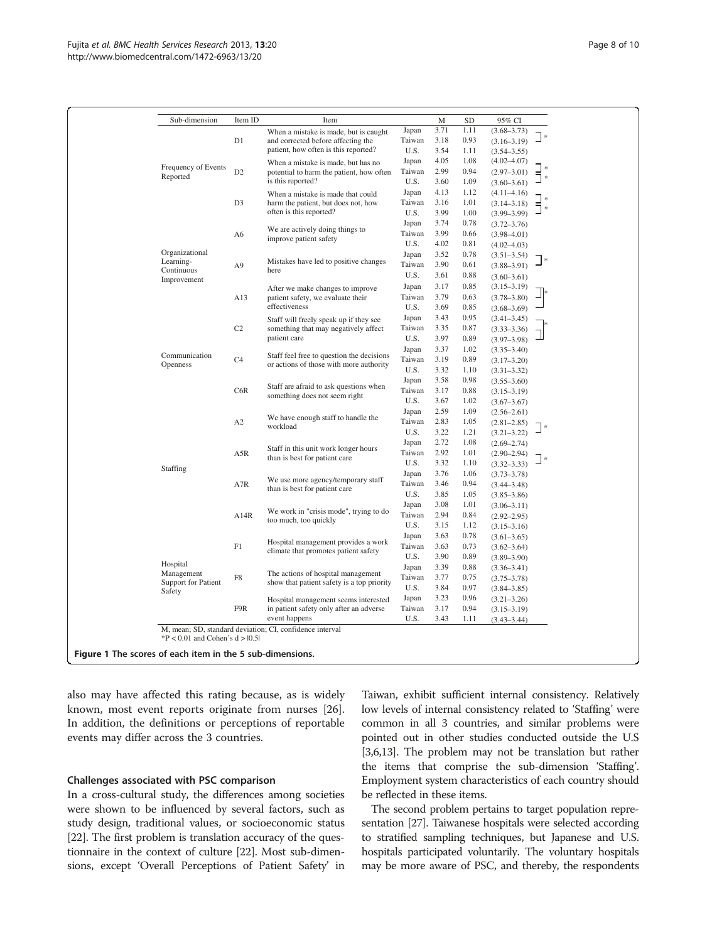<span id="page-7-0"></span>

| Sub-dimension              | Item ID        | Item                                                                             |                 | M    | <b>SD</b> | 95% CI          |        |
|----------------------------|----------------|----------------------------------------------------------------------------------|-----------------|------|-----------|-----------------|--------|
|                            |                | When a mistake is made, but is caught                                            | Japan           | 3.71 | 1.11      | $(3.68 - 3.73)$ |        |
|                            | D1             | and corrected before affecting the                                               | Taiwan          | 3.18 | 0.93      | $(3.16 - 3.19)$ |        |
|                            |                | patient, how often is this reported?                                             | U.S.            | 3.54 | 1.11      | $(3.54 - 3.55)$ |        |
|                            |                | When a mistake is made, but has no                                               | Japan           | 4.05 | 1.08      | $(4.02 - 4.07)$ |        |
| Frequency of Events        | D <sub>2</sub> | potential to harm the patient, how often                                         | Taiwan          | 2.99 | 0.94      | $(2.97 - 3.01)$ |        |
| Reported                   |                | is this reported?                                                                | U.S.            | 3.60 | 1.09      | $(3.60 - 3.61)$ |        |
|                            |                | When a mistake is made that could                                                | Japan           | 4.13 | 1.12      | $(4.11 - 4.16)$ |        |
|                            | D <sub>3</sub> | harm the patient, but does not, how<br>often is this reported?                   | Taiwan          | 3.16 | 1.01      | $(3.14 - 3.18)$ |        |
|                            |                |                                                                                  | U.S.            | 3.99 | 1.00      | $(3.99 - 3.99)$ |        |
|                            |                |                                                                                  | Japan           | 3.74 | 0.78      | $(3.72 - 3.76)$ |        |
|                            | A6             | We are actively doing things to<br>improve patient safety                        | Taiwan          | 3.99 | 0.66      | $(3.98 - 4.01)$ |        |
|                            |                |                                                                                  | U.S.            | 4.02 | 0.81      |                 |        |
| Organizational             |                |                                                                                  |                 | 3.52 |           | $(4.02 - 4.03)$ |        |
| Learning-                  |                | Mistakes have led to positive changes                                            | Japan<br>Taiwan | 3.90 | 0.78      | $(3.51 - 3.54)$ |        |
| Continuous                 | A <sub>9</sub> | here                                                                             |                 |      | 0.61      | $(3.88 - 3.91)$ |        |
| Improvement                |                |                                                                                  | U.S.            | 3.61 | 0.88      | $(3.60 - 3.61)$ |        |
|                            |                | After we make changes to improve                                                 | Japan           | 3.17 | 0.85      | $(3.15 - 3.19)$ |        |
|                            | A13            | patient safety, we evaluate their                                                | Taiwan          | 3.79 | 0.63      | $(3.78 - 3.80)$ |        |
|                            |                | effectiveness                                                                    | U.S.            | 3.69 | 0.85      | $(3.68 - 3.69)$ |        |
|                            |                | Staff will freely speak up if they see                                           | Japan           | 3.43 | 0.95      | $(3.41 - 3.45)$ |        |
|                            | C2             | something that may negatively affect                                             | Taiwan          | 3.35 | 0.87      | $(3.33 - 3.36)$ |        |
|                            |                | patient care                                                                     | U.S.            | 3.97 | 0.89      | $(3.97 - 3.98)$ |        |
|                            |                |                                                                                  | Japan           | 3.37 | 1.02      | $(3.35 - 3.40)$ |        |
| Communication              | C4             | Staff feel free to question the decisions                                        | Taiwan          | 3.19 | 0.89      | $(3.17 - 3.20)$ |        |
| Openness                   |                | or actions of those with more authority                                          | U.S.            | 3.32 | 1.10      | $(3.31 - 3.32)$ |        |
|                            |                |                                                                                  | Japan           | 3.58 | 0.98      | $(3.55 - 3.60)$ |        |
|                            | C6R            | Staff are afraid to ask questions when<br>something does not seem right          | Taiwan          | 3.17 | 0.88      | $(3.15 - 3.19)$ |        |
|                            |                |                                                                                  | U.S.            | 3.67 | 1.02      | $(3.67 - 3.67)$ |        |
|                            |                |                                                                                  | Japan           | 2.59 | 1.09      | $(2.56 - 2.61)$ |        |
|                            | A2             | We have enough staff to handle the                                               | Taiwan          | 2.83 | 1.05      | $(2.81 - 2.85)$ |        |
|                            |                | workload                                                                         | U.S.            | 3.22 | 1.21      | $(3.21 - 3.22)$ |        |
|                            |                |                                                                                  | Japan           | 2.72 | 1.08      | $(2.69 - 2.74)$ |        |
|                            | A5R            | Staff in this unit work longer hours<br>than is best for patient care            | Taiwan          | 2.92 | 1.01      | $(2.90 - 2.94)$ |        |
|                            |                |                                                                                  | U.S.            | 3.32 | 1.10      | $(3.32 - 3.33)$ | $\ast$ |
| Staffing                   |                |                                                                                  | Japan           | 3.76 | 1.06      | $(3.73 - 3.78)$ |        |
|                            | A7R            | We use more agency/temporary staff                                               | Taiwan          | 3.46 | 0.94      | $(3.44 - 3.48)$ |        |
|                            |                | than is best for patient care                                                    | U.S.            | 3.85 | 1.05      | $(3.85 - 3.86)$ |        |
|                            |                |                                                                                  | Japan           | 3.08 | 1.01      | $(3.06 - 3.11)$ |        |
|                            | A14R           | We work in "crisis mode", trying to do                                           | Taiwan          | 2.94 | 0.84      |                 |        |
|                            |                | too much, too quickly                                                            | U.S.            | 3.15 | 1.12      | $(2.92 - 2.95)$ |        |
|                            |                |                                                                                  | Japan           | 3.63 | 0.78      | $(3.15 - 3.16)$ |        |
|                            |                | Hospital management provides a work                                              | Taiwan          | 3.63 |           | $(3.61 - 3.65)$ |        |
|                            | F1             | climate that promotes patient safety                                             |                 |      | 0.73      | $(3.62 - 3.64)$ |        |
| Hospital                   |                |                                                                                  | U.S.            | 3.90 | 0.89      | $(3.89 - 3.90)$ |        |
| Management                 |                | The actions of hospital management<br>show that patient safety is a top priority | Japan           | 3.39 | 0.88      | $(3.36 - 3.41)$ |        |
| <b>Support for Patient</b> | F8             |                                                                                  | Taiwan          | 3.77 | 0.75      | $(3.75 - 3.78)$ |        |
| Safety                     |                |                                                                                  | U.S.            | 3.84 | 0.97      | $(3.84 - 3.85)$ |        |
|                            |                | Hospital management seems interested                                             | Japan           | 3.23 | 0.96      | $(3.21 - 3.26)$ |        |
|                            | F9R            | in patient safety only after an adverse                                          | Taiwan          | 3.17 | 0.94      | $(3.15 - 3.19)$ |        |
|                            |                | event happens                                                                    | U.S.            | 3.43 | 1.11      | $(3.43 - 3.44)$ |        |

also may have affected this rating because, as is widely known, most event reports originate from nurses [\[26](#page-9-0)]. In addition, the definitions or perceptions of reportable events may differ across the 3 countries.

### Challenges associated with PSC comparison

In a cross-cultural study, the differences among societies were shown to be influenced by several factors, such as study design, traditional values, or socioeconomic status [[22](#page-9-0)]. The first problem is translation accuracy of the questionnaire in the context of culture [\[22\]](#page-9-0). Most sub-dimensions, except 'Overall Perceptions of Patient Safety' in

Taiwan, exhibit sufficient internal consistency. Relatively low levels of internal consistency related to 'Staffing' were common in all 3 countries, and similar problems were pointed out in other studies conducted outside the U.S [[3,6,13\]](#page-8-0). The problem may not be translation but rather the items that comprise the sub-dimension 'Staffing'. Employment system characteristics of each country should be reflected in these items.

The second problem pertains to target population representation [[27\]](#page-9-0). Taiwanese hospitals were selected according to stratified sampling techniques, but Japanese and U.S. hospitals participated voluntarily. The voluntary hospitals may be more aware of PSC, and thereby, the respondents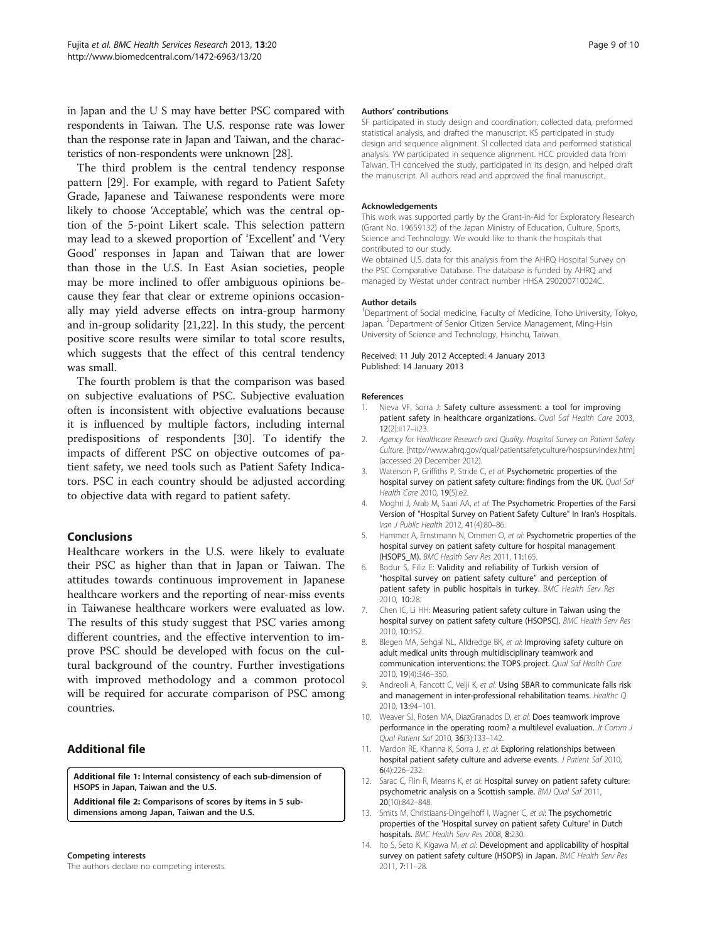<span id="page-8-0"></span>in Japan and the U S may have better PSC compared with respondents in Taiwan. The U.S. response rate was lower than the response rate in Japan and Taiwan, and the characteristics of non-respondents were unknown [\[28\]](#page-9-0).

The third problem is the central tendency response pattern [\[29\]](#page-9-0). For example, with regard to Patient Safety Grade, Japanese and Taiwanese respondents were more likely to choose 'Acceptable', which was the central option of the 5-point Likert scale. This selection pattern may lead to a skewed proportion of 'Excellent' and 'Very Good' responses in Japan and Taiwan that are lower than those in the U.S. In East Asian societies, people may be more inclined to offer ambiguous opinions because they fear that clear or extreme opinions occasionally may yield adverse effects on intra-group harmony and in-group solidarity [\[21,22\]](#page-9-0). In this study, the percent positive score results were similar to total score results, which suggests that the effect of this central tendency was small.

The fourth problem is that the comparison was based on subjective evaluations of PSC. Subjective evaluation often is inconsistent with objective evaluations because it is influenced by multiple factors, including internal predispositions of respondents [[30\]](#page-9-0). To identify the impacts of different PSC on objective outcomes of patient safety, we need tools such as Patient Safety Indicators. PSC in each country should be adjusted according to objective data with regard to patient safety.

### Conclusions

Healthcare workers in the U.S. were likely to evaluate their PSC as higher than that in Japan or Taiwan. The attitudes towards continuous improvement in Japanese healthcare workers and the reporting of near-miss events in Taiwanese healthcare workers were evaluated as low. The results of this study suggest that PSC varies among different countries, and the effective intervention to improve PSC should be developed with focus on the cultural background of the country. Further investigations with improved methodology and a common protocol will be required for accurate comparison of PSC among countries.

### Additional file

[Additional file 1:](http://www.biomedcentral.com/content/supplementary/1472-6963-13-20-S1.doc) Internal consistency of each sub-dimension of HSOPS in Japan, Taiwan and the U.S.

[Additional file 2:](http://www.biomedcentral.com/content/supplementary/1472-6963-13-20-S2.doc) Comparisons of scores by items in 5 subdimensions among Japan, Taiwan and the U.S.

### Competing interests

The authors declare no competing interests.

### Authors' contributions

SF participated in study design and coordination, collected data, preformed statistical analysis, and drafted the manuscript. KS participated in study design and sequence alignment. SI collected data and performed statistical analysis. YW participated in sequence alignment. HCC provided data from Taiwan. TH conceived the study, participated in its design, and helped draft the manuscript. All authors read and approved the final manuscript.

### Acknowledgements

This work was supported partly by the Grant-in-Aid for Exploratory Research (Grant No. 19659132) of the Japan Ministry of Education, Culture, Sports, Science and Technology. We would like to thank the hospitals that contributed to our study.

We obtained U.S. data for this analysis from the AHRQ Hospital Survey on the PSC Comparative Database. The database is funded by AHRQ and managed by Westat under contract number HHSA 290200710024C.

### Author details

<sup>1</sup>Department of Social medicine, Faculty of Medicine, Toho University, Tokyo, Japan. <sup>2</sup>Department of Senior Citizen Service Management, Ming-Hsin University of Science and Technology, Hsinchu, Taiwan.

Received: 11 July 2012 Accepted: 4 January 2013 Published: 14 January 2013

### References

- Nieva VF, Sorra J: Safety culture assessment: a tool for improving patient safety in healthcare organizations. Qual Saf Health Care 2003, 12(2):ii17–ii23.
- 2. Agency for Healthcare Research and Quality. Hospital Survey on Patient Safety Culture. [\[http://www.ahrq.gov/qual/patientsafetyculture/hospsurvindex.htm](http://www.ahrq.gov/qual/patientsafetyculture/hospsurvindex.htm)] (accessed 20 December 2012).
- Waterson P, Griffiths P, Stride C, et al: Psychometric properties of the hospital survey on patient safety culture: findings from the UK. Qual Saf Health Care 2010, 19(5):e2.
- 4. Moghri J, Arab M, Saari AA, et al: The Psychometric Properties of the Farsi Version of "Hospital Survey on Patient Safety Culture" In Iran's Hospitals. Iran J Public Health 2012, 41(4):80–86.
- 5. Hammer A, Ernstmann N, Ommen O, et al: Psychometric properties of the hospital survey on patient safety culture for hospital management (HSOPS\_M). BMC Health Serv Res 2011, 11:165.
- 6. Bodur S, Filiz E: Validity and reliability of Turkish version of "hospital survey on patient safety culture" and perception of patient safety in public hospitals in turkey. BMC Health Serv Res 2010, 10:28.
- 7. Chen IC, Li HH: Measuring patient safety culture in Taiwan using the hospital survey on patient safety culture (HSOPSC). BMC Health Serv Res 2010, 10:152.
- 8. Blegen MA, Sehgal NL, Alldredge BK, et al: Improving safety culture on adult medical units through multidisciplinary teamwork and communication interventions: the TOPS project. Qual Saf Health Care 2010, 19(4):346–350.
- 9. Andreoli A, Fancott C, Velji K, et al: Using SBAR to communicate falls risk and management in inter-professional rehabilitation teams. Healthc Q 2010, 13:94–101.
- 10. Weaver SJ, Rosen MA, DiazGranados D, et al: Does teamwork improve performance in the operating room? a multilevel evaluation. Jt Comm J Qual Patient Saf 2010, 36(3):133–142.
- 11. Mardon RE, Khanna K, Sorra J, et al: Exploring relationships between hospital patient safety culture and adverse events. J Patient Saf 2010, 6(4):226–232.
- 12. Sarac C, Flin R, Mearns K, et al: Hospital survey on patient safety culture: psychometric analysis on a Scottish sample. BMJ Qual Saf 2011, 20(10):842–848.
- 13. Smits M, Christiaans-Dingelhoff I, Wagner C, et al: The psychometric properties of the 'Hospital survey on patient safety Culture' in Dutch hospitals. BMC Health Serv Res 2008, 8:230.
- 14. Ito S, Seto K, Kigawa M, et al: Development and applicability of hospital survey on patient safety culture (HSOPS) in Japan. BMC Health Serv Res 2011, 7:11–28.